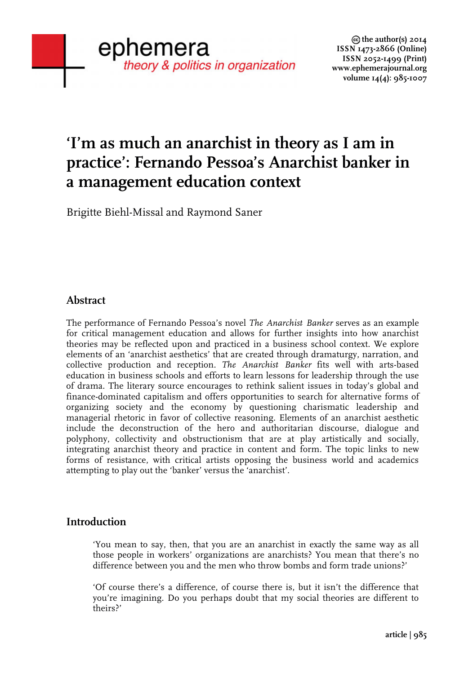# **'I'm as much an anarchist in theory as I am in practice': Fernando Pessoa's Anarchist banker in a management education context**

Brigitte Biehl-Missal and Raymond Saner

# **Abstract**

The performance of Fernando Pessoa's novel *The Anarchist Banker* serves as an example for critical management education and allows for further insights into how anarchist theories may be reflected upon and practiced in a business school context. We explore elements of an 'anarchist aesthetics' that are created through dramaturgy, narration, and collective production and reception. *The Anarchist Banker* fits well with arts-based education in business schools and efforts to learn lessons for leadership through the use of drama. The literary source encourages to rethink salient issues in today's global and finance-dominated capitalism and offers opportunities to search for alternative forms of organizing society and the economy by questioning charismatic leadership and managerial rhetoric in favor of collective reasoning. Elements of an anarchist aesthetic include the deconstruction of the hero and authoritarian discourse, dialogue and polyphony, collectivity and obstructionism that are at play artistically and socially, integrating anarchist theory and practice in content and form. The topic links to new forms of resistance, with critical artists opposing the business world and academics attempting to play out the 'banker' versus the 'anarchist'.

## **Introduction**

'You mean to say, then, that you are an anarchist in exactly the same way as all those people in workers' organizations are anarchists? You mean that there's no difference between you and the men who throw bombs and form trade unions?'

'Of course there's a difference, of course there is, but it isn't the difference that you're imagining. Do you perhaps doubt that my social theories are different to theirs?'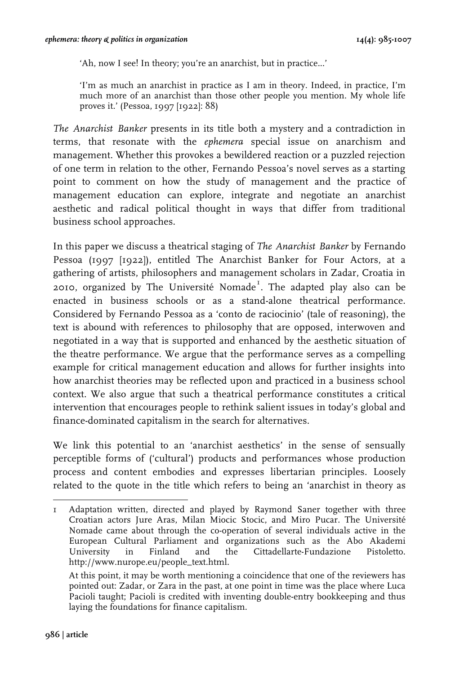'Ah, now I see! In theory; you're an anarchist, but in practice...'

'I'm as much an anarchist in practice as I am in theory. Indeed, in practice, I'm much more of an anarchist than those other people you mention. My whole life proves it.' (Pessoa, 1997 [1922]: 88)

*The Anarchist Banker* presents in its title both a mystery and a contradiction in terms, that resonate with the *ephemera* special issue on anarchism and management. Whether this provokes a bewildered reaction or a puzzled rejection of one term in relation to the other, Fernando Pessoa's novel serves as a starting point to comment on how the study of management and the practice of management education can explore, integrate and negotiate an anarchist aesthetic and radical political thought in ways that differ from traditional business school approaches.

In this paper we discuss a theatrical staging of *The Anarchist Banker* by Fernando Pessoa (1997 [1922]), entitled The Anarchist Banker for Four Actors, at a gathering of artists, philosophers and management scholars in Zadar, Croatia in 2010, organized by The Université Nomade<sup>1</sup>. The adapted play also can be enacted in business schools or as a stand-alone theatrical performance. Considered by Fernando Pessoa as a 'conto de raciocinio' (tale of reasoning), the text is abound with references to philosophy that are opposed, interwoven and negotiated in a way that is supported and enhanced by the aesthetic situation of the theatre performance. We argue that the performance serves as a compelling example for critical management education and allows for further insights into how anarchist theories may be reflected upon and practiced in a business school context. We also argue that such a theatrical performance constitutes a critical intervention that encourages people to rethink salient issues in today's global and finance-dominated capitalism in the search for alternatives.

We link this potential to an 'anarchist aesthetics' in the sense of sensually perceptible forms of ('cultural') products and performances whose production process and content embodies and expresses libertarian principles. Loosely related to the quote in the title which refers to being an 'anarchist in theory as

 1 Adaptation written, directed and played by Raymond Saner together with three Croatian actors Jure Aras, Milan Miocic Stocic, and Miro Pucar. The Université Nomade came about through the co-operation of several individuals active in the European Cultural Parliament and organizations such as the Abo Akademi University in Finland and the Cittadellarte-Fundazione Pistoletto. http://www.nurope.eu/people\_text.html.

At this point, it may be worth mentioning a coincidence that one of the reviewers has pointed out: Zadar, or Zara in the past, at one point in time was the place where Luca Pacioli taught; Pacioli is credited with inventing double-entry bookkeeping and thus laying the foundations for finance capitalism.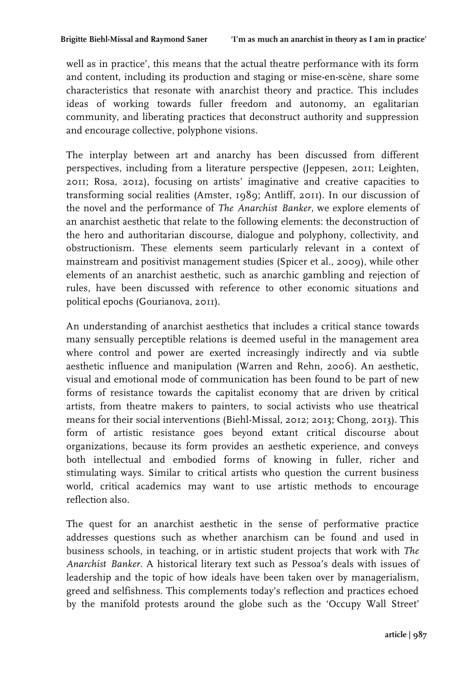well as in practice', this means that the actual theatre performance with its form and content, including its production and staging or mise-en-scène, share some characteristics that resonate with anarchist theory and practice. This includes ideas of working towards fuller freedom and autonomy, an egalitarian community, and liberating practices that deconstruct authority and suppression and encourage collective, polyphone visions.

The interplay between art and anarchy has been discussed from different perspectives, including from a literature perspective (Jeppesen, 2011; Leighten, 2011; Rosa, 2012), focusing on artists' imaginative and creative capacities to transforming social realities (Amster, 1989; Antliff, 2011). In our discussion of the novel and the performance of *The Anarchist Banker*, we explore elements of an anarchist aesthetic that relate to the following elements: the deconstruction of the hero and authoritarian discourse, dialogue and polyphony, collectivity, and obstructionism. These elements seem particularly relevant in a context of mainstream and positivist management studies (Spicer et al., 2009), while other elements of an anarchist aesthetic, such as anarchic gambling and rejection of rules, have been discussed with reference to other economic situations and political epochs (Gourianova, 2011).

An understanding of anarchist aesthetics that includes a critical stance towards many sensually perceptible relations is deemed useful in the management area where control and power are exerted increasingly indirectly and via subtle aesthetic influence and manipulation (Warren and Rehn, 2006). An aesthetic, visual and emotional mode of communication has been found to be part of new forms of resistance towards the capitalist economy that are driven by critical artists, from theatre makers to painters, to social activists who use theatrical means for their social interventions (Biehl-Missal, 2012; 2013; Chong, 2013). This form of artistic resistance goes beyond extant critical discourse about organizations, because its form provides an aesthetic experience, and conveys both intellectual and embodied forms of knowing in fuller, richer and stimulating ways. Similar to critical artists who question the current business world, critical academics may want to use artistic methods to encourage reflection also.

The quest for an anarchist aesthetic in the sense of performative practice addresses questions such as whether anarchism can be found and used in business schools, in teaching, or in artistic student projects that work with *The Anarchist Banker*. A historical literary text such as Pessoa's deals with issues of leadership and the topic of how ideals have been taken over by managerialism, greed and selfishness. This complements today's reflection and practices echoed by the manifold protests around the globe such as the 'Occupy Wall Street'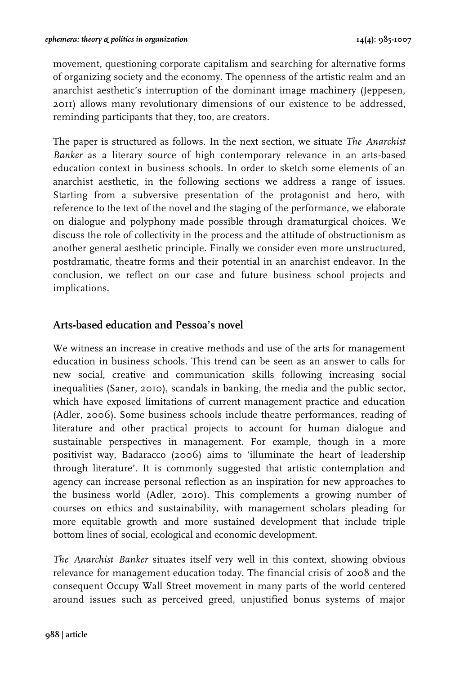movement, questioning corporate capitalism and searching for alternative forms of organizing society and the economy. The openness of the artistic realm and an anarchist aesthetic's interruption of the dominant image machinery (Jeppesen, 2011) allows many revolutionary dimensions of our existence to be addressed, reminding participants that they, too, are creators.

The paper is structured as follows. In the next section, we situate *The Anarchist Banker* as a literary source of high contemporary relevance in an arts-based education context in business schools. In order to sketch some elements of an anarchist aesthetic, in the following sections we address a range of issues. Starting from a subversive presentation of the protagonist and hero, with reference to the text of the novel and the staging of the performance, we elaborate on dialogue and polyphony made possible through dramaturgical choices. We discuss the role of collectivity in the process and the attitude of obstructionism as another general aesthetic principle. Finally we consider even more unstructured, postdramatic, theatre forms and their potential in an anarchist endeavor. In the conclusion, we reflect on our case and future business school projects and implications.

## **Arts-based education and Pessoa's novel**

We witness an increase in creative methods and use of the arts for management education in business schools. This trend can be seen as an answer to calls for new social, creative and communication skills following increasing social inequalities (Saner, 2010), scandals in banking, the media and the public sector, which have exposed limitations of current management practice and education (Adler, 2006). Some business schools include theatre performances, reading of literature and other practical projects to account for human dialogue and sustainable perspectives in management. For example, though in a more positivist way, Badaracco (2006) aims to 'illuminate the heart of leadership through literature'. It is commonly suggested that artistic contemplation and agency can increase personal reflection as an inspiration for new approaches to the business world (Adler, 2010). This complements a growing number of courses on ethics and sustainability, with management scholars pleading for more equitable growth and more sustained development that include triple bottom lines of social, ecological and economic development.

*The Anarchist Banker* situates itself very well in this context, showing obvious relevance for management education today. The financial crisis of 2008 and the consequent Occupy Wall Street movement in many parts of the world centered around issues such as perceived greed, unjustified bonus systems of major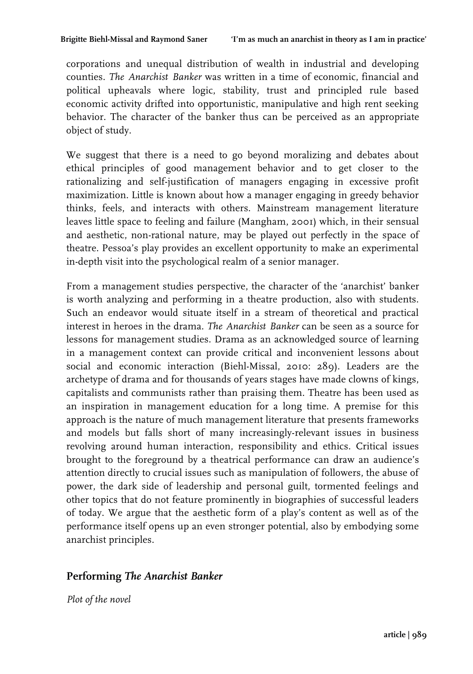corporations and unequal distribution of wealth in industrial and developing counties. *The Anarchist Banker* was written in a time of economic, financial and political upheavals where logic, stability, trust and principled rule based economic activity drifted into opportunistic, manipulative and high rent seeking behavior. The character of the banker thus can be perceived as an appropriate object of study.

We suggest that there is a need to go beyond moralizing and debates about ethical principles of good management behavior and to get closer to the rationalizing and self-justification of managers engaging in excessive profit maximization. Little is known about how a manager engaging in greedy behavior thinks, feels, and interacts with others. Mainstream management literature leaves little space to feeling and failure (Mangham, 2001) which, in their sensual and aesthetic, non-rational nature, may be played out perfectly in the space of theatre. Pessoa's play provides an excellent opportunity to make an experimental in-depth visit into the psychological realm of a senior manager.

From a management studies perspective, the character of the 'anarchist' banker is worth analyzing and performing in a theatre production, also with students. Such an endeavor would situate itself in a stream of theoretical and practical interest in heroes in the drama. *The Anarchist Banker* can be seen as a source for lessons for management studies. Drama as an acknowledged source of learning in a management context can provide critical and inconvenient lessons about social and economic interaction (Biehl-Missal, 2010: 289). Leaders are the archetype of drama and for thousands of years stages have made clowns of kings, capitalists and communists rather than praising them. Theatre has been used as an inspiration in management education for a long time. A premise for this approach is the nature of much management literature that presents frameworks and models but falls short of many increasingly-relevant issues in business revolving around human interaction, responsibility and ethics. Critical issues brought to the foreground by a theatrical performance can draw an audience's attention directly to crucial issues such as manipulation of followers, the abuse of power, the dark side of leadership and personal guilt, tormented feelings and other topics that do not feature prominently in biographies of successful leaders of today. We argue that the aesthetic form of a play's content as well as of the performance itself opens up an even stronger potential, also by embodying some anarchist principles.

## **Performing** *The Anarchist Banker*

*Plot of the novel*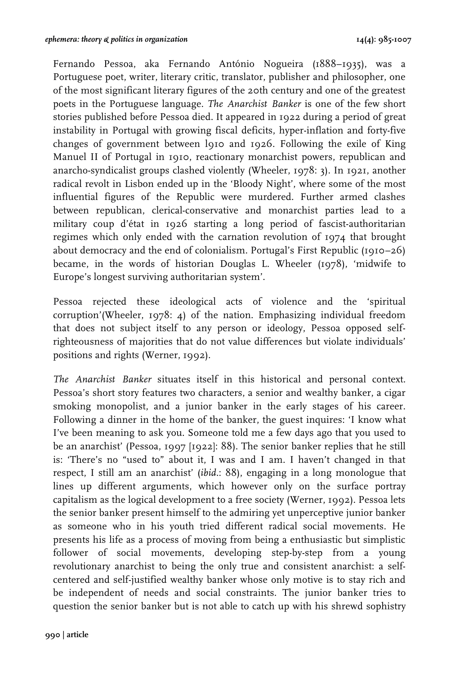Fernando Pessoa, aka Fernando António Nogueira (1888–1935), was a Portuguese poet, writer, literary critic, translator, publisher and philosopher, one of the most significant literary figures of the 20th century and one of the greatest poets in the Portuguese language. *The Anarchist Banker* is one of the few short stories published before Pessoa died. It appeared in 1922 during a period of great instability in Portugal with growing fiscal deficits, hyper-inflation and forty-five changes of government between l910 and 1926. Following the exile of King Manuel II of Portugal in 1910, reactionary monarchist powers, republican and anarcho-syndicalist groups clashed violently (Wheeler, 1978: 3). In 1921, another radical revolt in Lisbon ended up in the 'Bloody Night', where some of the most influential figures of the Republic were murdered. Further armed clashes between republican, clerical-conservative and monarchist parties lead to a military coup d'état in 1926 starting a long period of fascist-authoritarian regimes which only ended with the carnation revolution of 1974 that brought about democracy and the end of colonialism. Portugal's First Republic (1910–26) became, in the words of historian Douglas L. Wheeler (1978), 'midwife to Europe's longest surviving authoritarian system'.

Pessoa rejected these ideological acts of violence and the 'spiritual corruption'(Wheeler, 1978: 4) of the nation. Emphasizing individual freedom that does not subject itself to any person or ideology, Pessoa opposed selfrighteousness of majorities that do not value differences but violate individuals' positions and rights (Werner, 1992).

*The Anarchist Banker* situates itself in this historical and personal context. Pessoa's short story features two characters, a senior and wealthy banker, a cigar smoking monopolist, and a junior banker in the early stages of his career. Following a dinner in the home of the banker, the guest inquires: 'I know what I've been meaning to ask you. Someone told me a few days ago that you used to be an anarchist' (Pessoa, 1997 [1922]: 88). The senior banker replies that he still is: 'There's no "used to" about it, I was and I am. I haven't changed in that respect, I still am an anarchist' (*ibid.*: 88), engaging in a long monologue that lines up different arguments, which however only on the surface portray capitalism as the logical development to a free society (Werner, 1992). Pessoa lets the senior banker present himself to the admiring yet unperceptive junior banker as someone who in his youth tried different radical social movements. He presents his life as a process of moving from being a enthusiastic but simplistic follower of social movements, developing step-by-step from a young revolutionary anarchist to being the only true and consistent anarchist: a selfcentered and self-justified wealthy banker whose only motive is to stay rich and be independent of needs and social constraints. The junior banker tries to question the senior banker but is not able to catch up with his shrewd sophistry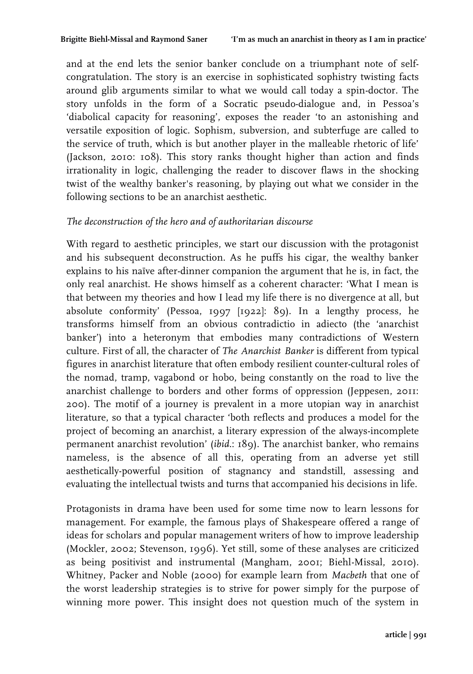and at the end lets the senior banker conclude on a triumphant note of selfcongratulation. The story is an exercise in sophisticated sophistry twisting facts around glib arguments similar to what we would call today a spin-doctor. The story unfolds in the form of a Socratic pseudo-dialogue and, in Pessoa's 'diabolical capacity for reasoning', exposes the reader 'to an astonishing and versatile exposition of logic. Sophism, subversion, and subterfuge are called to the service of truth, which is but another player in the malleable rhetoric of life' (Jackson, 2010: 108). This story ranks thought higher than action and finds irrationality in logic, challenging the reader to discover flaws in the shocking twist of the wealthy banker's reasoning, by playing out what we consider in the following sections to be an anarchist aesthetic.

#### *The deconstruction of the hero and of authoritarian discourse*

With regard to aesthetic principles, we start our discussion with the protagonist and his subsequent deconstruction. As he puffs his cigar, the wealthy banker explains to his naïve after-dinner companion the argument that he is, in fact, the only real anarchist. He shows himself as a coherent character: 'What I mean is that between my theories and how I lead my life there is no divergence at all, but absolute conformity' (Pessoa, 1997 [1922]: 89). In a lengthy process, he transforms himself from an obvious contradictio in adiecto (the 'anarchist banker') into a heteronym that embodies many contradictions of Western culture. First of all, the character of *The Anarchist Banker* is different from typical figures in anarchist literature that often embody resilient counter-cultural roles of the nomad, tramp, vagabond or hobo, being constantly on the road to live the anarchist challenge to borders and other forms of oppression (Jeppesen, 2011: 200). The motif of a journey is prevalent in a more utopian way in anarchist literature, so that a typical character 'both reflects and produces a model for the project of becoming an anarchist, a literary expression of the always-incomplete permanent anarchist revolution' (*ibid.*: 189). The anarchist banker, who remains nameless, is the absence of all this, operating from an adverse yet still aesthetically-powerful position of stagnancy and standstill, assessing and evaluating the intellectual twists and turns that accompanied his decisions in life.

Protagonists in drama have been used for some time now to learn lessons for management. For example, the famous plays of Shakespeare offered a range of ideas for scholars and popular management writers of how to improve leadership (Mockler, 2002; Stevenson, 1996). Yet still, some of these analyses are criticized as being positivist and instrumental (Mangham, 2001; Biehl-Missal, 2010). Whitney, Packer and Noble (2000) for example learn from *Macbeth* that one of the worst leadership strategies is to strive for power simply for the purpose of winning more power. This insight does not question much of the system in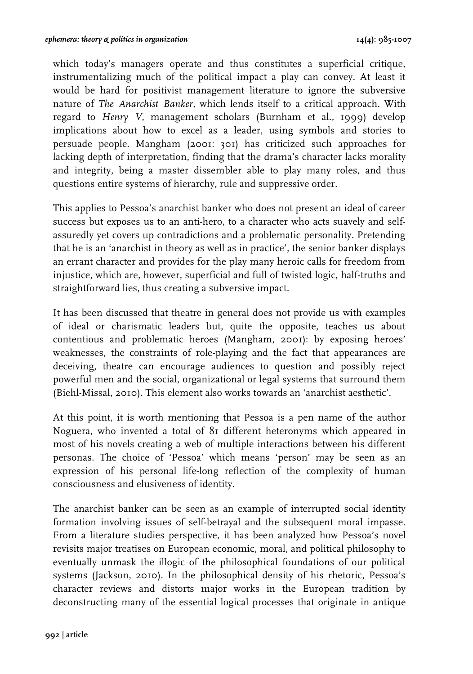which today's managers operate and thus constitutes a superficial critique, instrumentalizing much of the political impact a play can convey. At least it would be hard for positivist management literature to ignore the subversive nature of *The Anarchist Banker*, which lends itself to a critical approach. With regard to *Henry V*, management scholars (Burnham et al., 1999) develop implications about how to excel as a leader, using symbols and stories to persuade people. Mangham (2001: 301) has criticized such approaches for lacking depth of interpretation, finding that the drama's character lacks morality and integrity, being a master dissembler able to play many roles, and thus questions entire systems of hierarchy, rule and suppressive order.

This applies to Pessoa's anarchist banker who does not present an ideal of career success but exposes us to an anti-hero, to a character who acts suavely and selfassuredly yet covers up contradictions and a problematic personality. Pretending that he is an 'anarchist in theory as well as in practice', the senior banker displays an errant character and provides for the play many heroic calls for freedom from injustice, which are, however, superficial and full of twisted logic, half-truths and straightforward lies, thus creating a subversive impact.

It has been discussed that theatre in general does not provide us with examples of ideal or charismatic leaders but, quite the opposite, teaches us about contentious and problematic heroes (Mangham, 2001): by exposing heroes' weaknesses, the constraints of role-playing and the fact that appearances are deceiving, theatre can encourage audiences to question and possibly reject powerful men and the social, organizational or legal systems that surround them (Biehl-Missal, 2010). This element also works towards an 'anarchist aesthetic'.

At this point, it is worth mentioning that Pessoa is a pen name of the author Noguera, who invented a total of 81 different heteronyms which appeared in most of his novels creating a web of multiple interactions between his different personas. The choice of 'Pessoa' which means 'person' may be seen as an expression of his personal life-long reflection of the complexity of human consciousness and elusiveness of identity.

The anarchist banker can be seen as an example of interrupted social identity formation involving issues of self-betrayal and the subsequent moral impasse. From a literature studies perspective, it has been analyzed how Pessoa's novel revisits major treatises on European economic, moral, and political philosophy to eventually unmask the illogic of the philosophical foundations of our political systems (Jackson, 2010). In the philosophical density of his rhetoric, Pessoa's character reviews and distorts major works in the European tradition by deconstructing many of the essential logical processes that originate in antique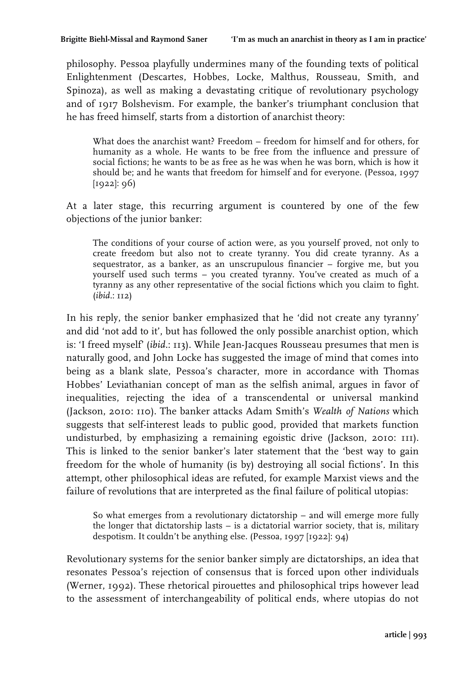philosophy. Pessoa playfully undermines many of the founding texts of political Enlightenment (Descartes, Hobbes, Locke, Malthus, Rousseau, Smith, and Spinoza), as well as making a devastating critique of revolutionary psychology and of 1917 Bolshevism. For example, the banker's triumphant conclusion that he has freed himself, starts from a distortion of anarchist theory:

What does the anarchist want? Freedom – freedom for himself and for others, for humanity as a whole. He wants to be free from the influence and pressure of social fictions; he wants to be as free as he was when he was born, which is how it should be; and he wants that freedom for himself and for everyone. (Pessoa, 1997 [1922]: 96)

At a later stage, this recurring argument is countered by one of the few objections of the junior banker:

The conditions of your course of action were, as you yourself proved, not only to create freedom but also not to create tyranny. You did create tyranny. As a sequestrator, as a banker, as an unscrupulous financier – forgive me, but you yourself used such terms – you created tyranny. You've created as much of a tyranny as any other representative of the social fictions which you claim to fight. (*ibid.*: 112)

In his reply, the senior banker emphasized that he 'did not create any tyranny' and did 'not add to it', but has followed the only possible anarchist option, which is: 'I freed myself' (*ibid.*: 113). While Jean-Jacques Rousseau presumes that men is naturally good, and John Locke has suggested the image of mind that comes into being as a blank slate, Pessoa's character, more in accordance with Thomas Hobbes' Leviathanian concept of man as the selfish animal, argues in favor of inequalities, rejecting the idea of a transcendental or universal mankind (Jackson, 2010: 110). The banker attacks Adam Smith's *Wealth of Nations* which suggests that self-interest leads to public good, provided that markets function undisturbed, by emphasizing a remaining egoistic drive (Jackson, 2010: 111). This is linked to the senior banker's later statement that the 'best way to gain freedom for the whole of humanity (is by) destroying all social fictions'. In this attempt, other philosophical ideas are refuted, for example Marxist views and the failure of revolutions that are interpreted as the final failure of political utopias:

So what emerges from a revolutionary dictatorship – and will emerge more fully the longer that dictatorship lasts – is a dictatorial warrior society, that is, military despotism. It couldn't be anything else. (Pessoa, 1997 [1922]: 94)

Revolutionary systems for the senior banker simply are dictatorships, an idea that resonates Pessoa's rejection of consensus that is forced upon other individuals (Werner, 1992). These rhetorical pirouettes and philosophical trips however lead to the assessment of interchangeability of political ends, where utopias do not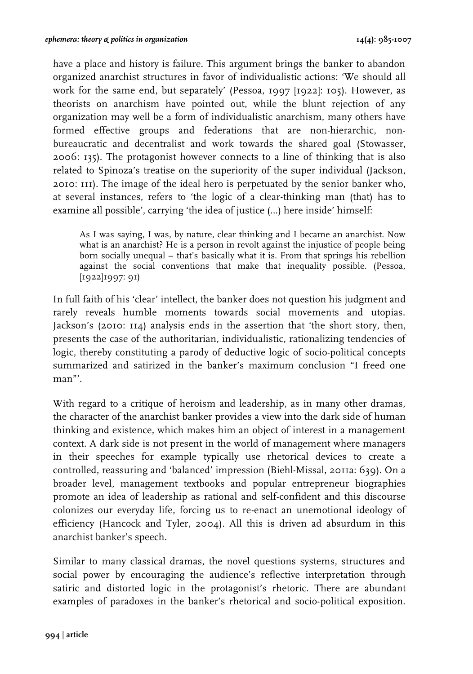have a place and history is failure. This argument brings the banker to abandon organized anarchist structures in favor of individualistic actions: 'We should all work for the same end, but separately' (Pessoa, 1997 [1922]: 105). However, as theorists on anarchism have pointed out, while the blunt rejection of any organization may well be a form of individualistic anarchism, many others have formed effective groups and federations that are non-hierarchic, nonbureaucratic and decentralist and work towards the shared goal (Stowasser, 2006: 135). The protagonist however connects to a line of thinking that is also related to Spinoza's treatise on the superiority of the super individual (Jackson, 2010: 111). The image of the ideal hero is perpetuated by the senior banker who, at several instances, refers to 'the logic of a clear-thinking man (that) has to examine all possible', carrying 'the idea of justice (…) here inside' himself:

As I was saying, I was, by nature, clear thinking and I became an anarchist. Now what is an anarchist? He is a person in revolt against the injustice of people being born socially unequal – that's basically what it is. From that springs his rebellion against the social conventions that make that inequality possible. (Pessoa, [1922]1997: 91)

In full faith of his 'clear' intellect, the banker does not question his judgment and rarely reveals humble moments towards social movements and utopias. Jackson's (2010: 114) analysis ends in the assertion that 'the short story, then, presents the case of the authoritarian, individualistic, rationalizing tendencies of logic, thereby constituting a parody of deductive logic of socio-political concepts summarized and satirized in the banker's maximum conclusion "I freed one man"'.

With regard to a critique of heroism and leadership, as in many other dramas, the character of the anarchist banker provides a view into the dark side of human thinking and existence, which makes him an object of interest in a management context. A dark side is not present in the world of management where managers in their speeches for example typically use rhetorical devices to create a controlled, reassuring and 'balanced' impression (Biehl-Missal, 2011a: 639). On a broader level, management textbooks and popular entrepreneur biographies promote an idea of leadership as rational and self-confident and this discourse colonizes our everyday life, forcing us to re-enact an unemotional ideology of efficiency (Hancock and Tyler, 2004). All this is driven ad absurdum in this anarchist banker's speech.

Similar to many classical dramas, the novel questions systems, structures and social power by encouraging the audience's reflective interpretation through satiric and distorted logic in the protagonist's rhetoric. There are abundant examples of paradoxes in the banker's rhetorical and socio-political exposition.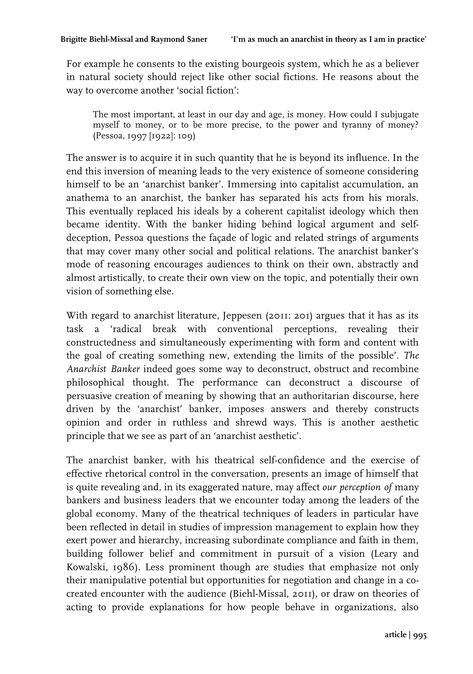For example he consents to the existing bourgeois system, which he as a believer in natural society should reject like other social fictions. He reasons about the way to overcome another 'social fiction':

The most important, at least in our day and age, is money. How could I subjugate myself to money, or to be more precise, to the power and tyranny of money? (Pessoa, 1997 [1922]: 109)

The answer is to acquire it in such quantity that he is beyond its influence. In the end this inversion of meaning leads to the very existence of someone considering himself to be an 'anarchist banker'. Immersing into capitalist accumulation, an anathema to an anarchist, the banker has separated his acts from his morals. This eventually replaced his ideals by a coherent capitalist ideology which then became identity. With the banker hiding behind logical argument and selfdeception, Pessoa questions the façade of logic and related strings of arguments that may cover many other social and political relations. The anarchist banker's mode of reasoning encourages audiences to think on their own, abstractly and almost artistically, to create their own view on the topic, and potentially their own vision of something else.

With regard to anarchist literature, Jeppesen (2011: 201) argues that it has as its task a 'radical break with conventional perceptions, revealing their constructedness and simultaneously experimenting with form and content with the goal of creating something new, extending the limits of the possible'. *The Anarchist Banker* indeed goes some way to deconstruct, obstruct and recombine philosophical thought. The performance can deconstruct a discourse of persuasive creation of meaning by showing that an authoritarian discourse, here driven by the 'anarchist' banker, imposes answers and thereby constructs opinion and order in ruthless and shrewd ways. This is another aesthetic principle that we see as part of an 'anarchist aesthetic'.

The anarchist banker, with his theatrical self-confidence and the exercise of effective rhetorical control in the conversation, presents an image of himself that is quite revealing and, in its exaggerated nature, may affect *our perception of* many bankers and business leaders that we encounter today among the leaders of the global economy. Many of the theatrical techniques of leaders in particular have been reflected in detail in studies of impression management to explain how they exert power and hierarchy, increasing subordinate compliance and faith in them, building follower belief and commitment in pursuit of a vision (Leary and Kowalski, 1986). Less prominent though are studies that emphasize not only their manipulative potential but opportunities for negotiation and change in a cocreated encounter with the audience (Biehl-Missal, 2011), or draw on theories of acting to provide explanations for how people behave in organizations, also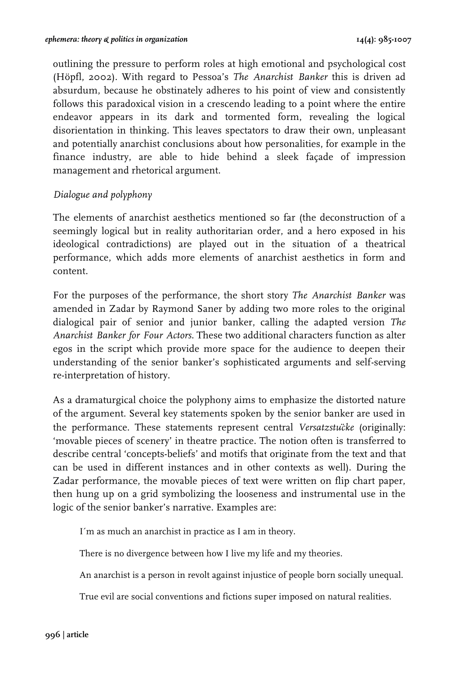outlining the pressure to perform roles at high emotional and psychological cost (Höpfl, 2002). With regard to Pessoa's *The Anarchist Banker* this is driven ad absurdum, because he obstinately adheres to his point of view and consistently follows this paradoxical vision in a crescendo leading to a point where the entire endeavor appears in its dark and tormented form, revealing the logical disorientation in thinking. This leaves spectators to draw their own, unpleasant and potentially anarchist conclusions about how personalities, for example in the finance industry, are able to hide behind a sleek façade of impression management and rhetorical argument.

## *Dialogue and polyphony*

The elements of anarchist aesthetics mentioned so far (the deconstruction of a seemingly logical but in reality authoritarian order, and a hero exposed in his ideological contradictions) are played out in the situation of a theatrical performance, which adds more elements of anarchist aesthetics in form and content.

For the purposes of the performance, the short story *The Anarchist Banker* was amended in Zadar by Raymond Saner by adding two more roles to the original dialogical pair of senior and junior banker, calling the adapted version *The Anarchist Banker for Four Actors*. These two additional characters function as alter egos in the script which provide more space for the audience to deepen their understanding of the senior banker's sophisticated arguments and self-serving re-interpretation of history.

As a dramaturgical choice the polyphony aims to emphasize the distorted nature of the argument. Several key statements spoken by the senior banker are used in the performance. These statements represent central *Versatzstücke* (originally: 'movable pieces of scenery' in theatre practice. The notion often is transferred to describe central 'concepts-beliefs' and motifs that originate from the text and that can be used in different instances and in other contexts as well). During the Zadar performance, the movable pieces of text were written on flip chart paper, then hung up on a grid symbolizing the looseness and instrumental use in the logic of the senior banker's narrative. Examples are:

I´m as much an anarchist in practice as I am in theory.

There is no divergence between how I live my life and my theories.

An anarchist is a person in revolt against injustice of people born socially unequal.

True evil are social conventions and fictions super imposed on natural realities.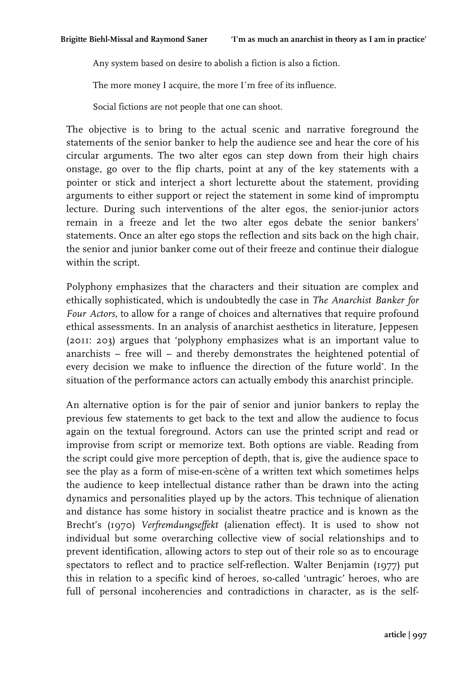Any system based on desire to abolish a fiction is also a fiction.

The more money I acquire, the more I´m free of its influence.

Social fictions are not people that one can shoot.

The objective is to bring to the actual scenic and narrative foreground the statements of the senior banker to help the audience see and hear the core of his circular arguments. The two alter egos can step down from their high chairs onstage, go over to the flip charts, point at any of the key statements with a pointer or stick and interject a short lecturette about the statement, providing arguments to either support or reject the statement in some kind of impromptu lecture. During such interventions of the alter egos, the senior-junior actors remain in a freeze and let the two alter egos debate the senior bankers' statements. Once an alter ego stops the reflection and sits back on the high chair, the senior and junior banker come out of their freeze and continue their dialogue within the script.

Polyphony emphasizes that the characters and their situation are complex and ethically sophisticated, which is undoubtedly the case in *The Anarchist Banker for Four Actors*, to allow for a range of choices and alternatives that require profound ethical assessments. In an analysis of anarchist aesthetics in literature, Jeppesen (2011: 203) argues that 'polyphony emphasizes what is an important value to anarchists – free will – and thereby demonstrates the heightened potential of every decision we make to influence the direction of the future world'. In the situation of the performance actors can actually embody this anarchist principle.

An alternative option is for the pair of senior and junior bankers to replay the previous few statements to get back to the text and allow the audience to focus again on the textual foreground. Actors can use the printed script and read or improvise from script or memorize text. Both options are viable. Reading from the script could give more perception of depth, that is, give the audience space to see the play as a form of mise-en-scène of a written text which sometimes helps the audience to keep intellectual distance rather than be drawn into the acting dynamics and personalities played up by the actors. This technique of alienation and distance has some history in socialist theatre practice and is known as the Brecht's (1970) *Verfremdungseffekt* (alienation effect). It is used to show not individual but some overarching collective view of social relationships and to prevent identification, allowing actors to step out of their role so as to encourage spectators to reflect and to practice self-reflection. Walter Benjamin (1977) put this in relation to a specific kind of heroes, so-called 'untragic' heroes, who are full of personal incoherencies and contradictions in character, as is the self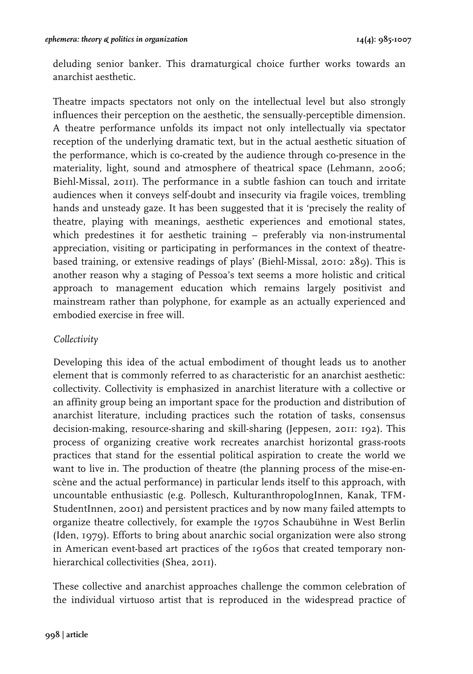deluding senior banker. This dramaturgical choice further works towards an anarchist aesthetic.

Theatre impacts spectators not only on the intellectual level but also strongly influences their perception on the aesthetic, the sensually-perceptible dimension. A theatre performance unfolds its impact not only intellectually via spectator reception of the underlying dramatic text, but in the actual aesthetic situation of the performance, which is co-created by the audience through co-presence in the materiality, light, sound and atmosphere of theatrical space (Lehmann, 2006; Biehl-Missal, 2011). The performance in a subtle fashion can touch and irritate audiences when it conveys self-doubt and insecurity via fragile voices, trembling hands and unsteady gaze. It has been suggested that it is 'precisely the reality of theatre, playing with meanings, aesthetic experiences and emotional states, which predestines it for aesthetic training – preferably via non-instrumental appreciation, visiting or participating in performances in the context of theatrebased training, or extensive readings of plays' (Biehl-Missal, 2010: 289). This is another reason why a staging of Pessoa's text seems a more holistic and critical approach to management education which remains largely positivist and mainstream rather than polyphone, for example as an actually experienced and embodied exercise in free will.

## *Collectivity*

Developing this idea of the actual embodiment of thought leads us to another element that is commonly referred to as characteristic for an anarchist aesthetic: collectivity. Collectivity is emphasized in anarchist literature with a collective or an affinity group being an important space for the production and distribution of anarchist literature, including practices such the rotation of tasks, consensus decision-making, resource-sharing and skill-sharing (Jeppesen, 2011: 192). This process of organizing creative work recreates anarchist horizontal grass-roots practices that stand for the essential political aspiration to create the world we want to live in. The production of theatre (the planning process of the mise-enscène and the actual performance) in particular lends itself to this approach, with uncountable enthusiastic (e.g. Pollesch, KulturanthropologInnen, Kanak, TFM-StudentInnen, 2001) and persistent practices and by now many failed attempts to organize theatre collectively, for example the 1970s Schaubühne in West Berlin (Iden, 1979). Efforts to bring about anarchic social organization were also strong in American event-based art practices of the 1960s that created temporary nonhierarchical collectivities (Shea, 2011).

These collective and anarchist approaches challenge the common celebration of the individual virtuoso artist that is reproduced in the widespread practice of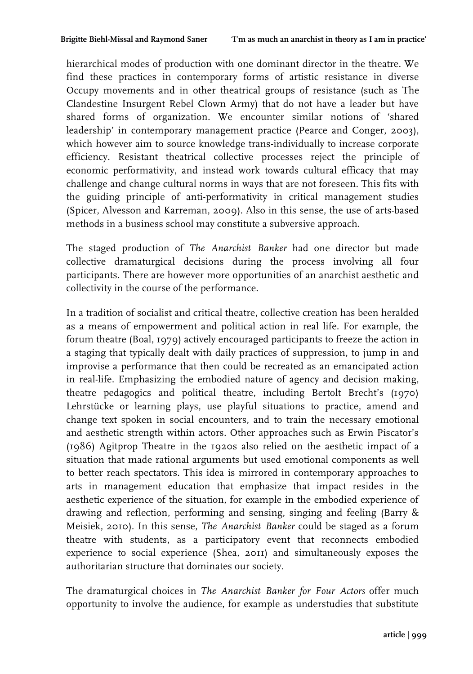hierarchical modes of production with one dominant director in the theatre. We find these practices in contemporary forms of artistic resistance in diverse Occupy movements and in other theatrical groups of resistance (such as The Clandestine Insurgent Rebel Clown Army) that do not have a leader but have shared forms of organization. We encounter similar notions of 'shared leadership' in contemporary management practice (Pearce and Conger, 2003), which however aim to source knowledge trans-individually to increase corporate efficiency. Resistant theatrical collective processes reject the principle of economic performativity, and instead work towards cultural efficacy that may challenge and change cultural norms in ways that are not foreseen. This fits with the guiding principle of anti-performativity in critical management studies (Spicer, Alvesson and Karreman, 2009). Also in this sense, the use of arts-based methods in a business school may constitute a subversive approach.

The staged production of *The Anarchist Banker* had one director but made collective dramaturgical decisions during the process involving all four participants. There are however more opportunities of an anarchist aesthetic and collectivity in the course of the performance.

In a tradition of socialist and critical theatre, collective creation has been heralded as a means of empowerment and political action in real life. For example, the forum theatre (Boal, 1979) actively encouraged participants to freeze the action in a staging that typically dealt with daily practices of suppression, to jump in and improvise a performance that then could be recreated as an emancipated action in real-life. Emphasizing the embodied nature of agency and decision making, theatre pedagogics and political theatre, including Bertolt Brecht's (1970) Lehrstücke or learning plays, use playful situations to practice, amend and change text spoken in social encounters, and to train the necessary emotional and aesthetic strength within actors. Other approaches such as Erwin Piscator's (1986) Agitprop Theatre in the 1920s also relied on the aesthetic impact of a situation that made rational arguments but used emotional components as well to better reach spectators. This idea is mirrored in contemporary approaches to arts in management education that emphasize that impact resides in the aesthetic experience of the situation, for example in the embodied experience of drawing and reflection, performing and sensing, singing and feeling (Barry & Meisiek, 2010). In this sense, *The Anarchist Banker* could be staged as a forum theatre with students, as a participatory event that reconnects embodied experience to social experience (Shea, 2011) and simultaneously exposes the authoritarian structure that dominates our society.

The dramaturgical choices in *The Anarchist Banker for Four Actors* offer much opportunity to involve the audience, for example as understudies that substitute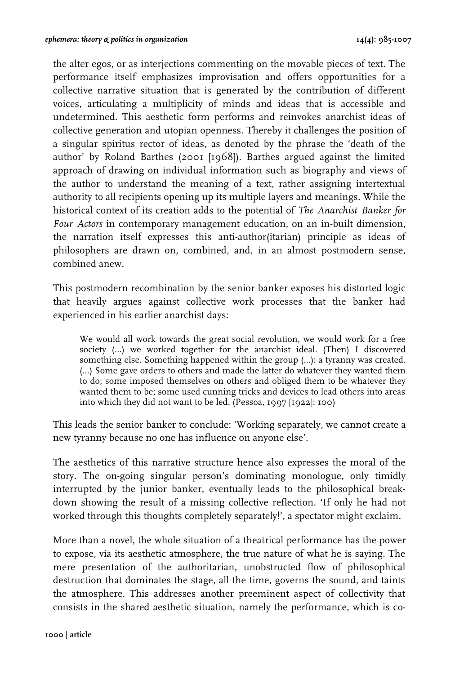the alter egos, or as interjections commenting on the movable pieces of text. The performance itself emphasizes improvisation and offers opportunities for a collective narrative situation that is generated by the contribution of different voices, articulating a multiplicity of minds and ideas that is accessible and undetermined. This aesthetic form performs and reinvokes anarchist ideas of collective generation and utopian openness. Thereby it challenges the position of a singular spiritus rector of ideas, as denoted by the phrase the 'death of the author' by Roland Barthes (2001 [1968]). Barthes argued against the limited approach of drawing on individual information such as biography and views of the author to understand the meaning of a text, rather assigning intertextual authority to all recipients opening up its multiple layers and meanings. While the historical context of its creation adds to the potential of *The Anarchist Banker for Four Actors* in contemporary management education, on an in-built dimension, the narration itself expresses this anti-author(itarian) principle as ideas of philosophers are drawn on, combined, and, in an almost postmodern sense, combined anew.

This postmodern recombination by the senior banker exposes his distorted logic that heavily argues against collective work processes that the banker had experienced in his earlier anarchist days:

We would all work towards the great social revolution, we would work for a free society (…) we worked together for the anarchist ideal. (Then) I discovered something else. Something happened within the group (…): a tyranny was created. (…) Some gave orders to others and made the latter do whatever they wanted them to do; some imposed themselves on others and obliged them to be whatever they wanted them to be; some used cunning tricks and devices to lead others into areas into which they did not want to be led. (Pessoa, 1997 [1922]: 100)

This leads the senior banker to conclude: 'Working separately, we cannot create a new tyranny because no one has influence on anyone else'.

The aesthetics of this narrative structure hence also expresses the moral of the story. The on-going singular person's dominating monologue, only timidly interrupted by the junior banker, eventually leads to the philosophical breakdown showing the result of a missing collective reflection. 'If only he had not worked through this thoughts completely separately!', a spectator might exclaim.

More than a novel, the whole situation of a theatrical performance has the power to expose, via its aesthetic atmosphere, the true nature of what he is saying. The mere presentation of the authoritarian, unobstructed flow of philosophical destruction that dominates the stage, all the time, governs the sound, and taints the atmosphere. This addresses another preeminent aspect of collectivity that consists in the shared aesthetic situation, namely the performance, which is co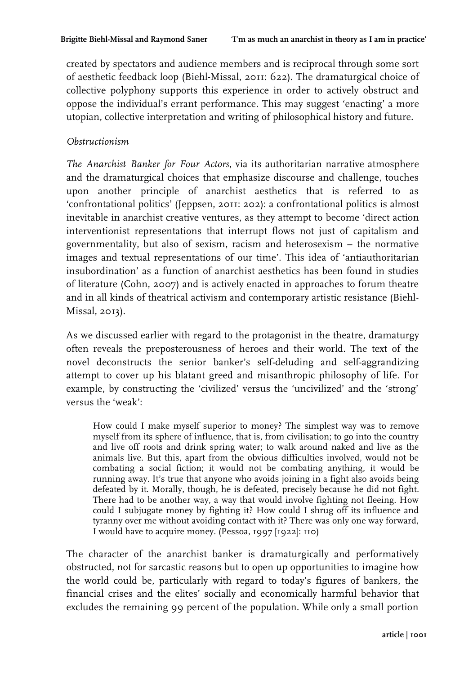created by spectators and audience members and is reciprocal through some sort of aesthetic feedback loop (Biehl-Missal, 2011: 622). The dramaturgical choice of collective polyphony supports this experience in order to actively obstruct and oppose the individual's errant performance. This may suggest 'enacting' a more utopian, collective interpretation and writing of philosophical history and future.

#### *Obstructionism*

*The Anarchist Banker for Four Actors*, via its authoritarian narrative atmosphere and the dramaturgical choices that emphasize discourse and challenge, touches upon another principle of anarchist aesthetics that is referred to as 'confrontational politics' (Jeppsen, 2011: 202): a confrontational politics is almost inevitable in anarchist creative ventures, as they attempt to become 'direct action interventionist representations that interrupt flows not just of capitalism and governmentality, but also of sexism, racism and heterosexism – the normative images and textual representations of our time'. This idea of 'antiauthoritarian insubordination' as a function of anarchist aesthetics has been found in studies of literature (Cohn, 2007) and is actively enacted in approaches to forum theatre and in all kinds of theatrical activism and contemporary artistic resistance (Biehl-Missal, 2013).

As we discussed earlier with regard to the protagonist in the theatre, dramaturgy often reveals the preposterousness of heroes and their world. The text of the novel deconstructs the senior banker's self-deluding and self-aggrandizing attempt to cover up his blatant greed and misanthropic philosophy of life. For example, by constructing the 'civilized' versus the 'uncivilized' and the 'strong' versus the 'weak':

How could I make myself superior to money? The simplest way was to remove myself from its sphere of influence, that is, from civilisation; to go into the country and live off roots and drink spring water; to walk around naked and live as the animals live. But this, apart from the obvious difficulties involved, would not be combating a social fiction; it would not be combating anything, it would be running away. It's true that anyone who avoids joining in a fight also avoids being defeated by it. Morally, though, he is defeated, precisely because he did not fight. There had to be another way, a way that would involve fighting not fleeing. How could I subjugate money by fighting it? How could I shrug off its influence and tyranny over me without avoiding contact with it? There was only one way forward, I would have to acquire money. (Pessoa, 1997 [1922]: 110)

The character of the anarchist banker is dramaturgically and performatively obstructed, not for sarcastic reasons but to open up opportunities to imagine how the world could be, particularly with regard to today's figures of bankers, the financial crises and the elites' socially and economically harmful behavior that excludes the remaining 99 percent of the population. While only a small portion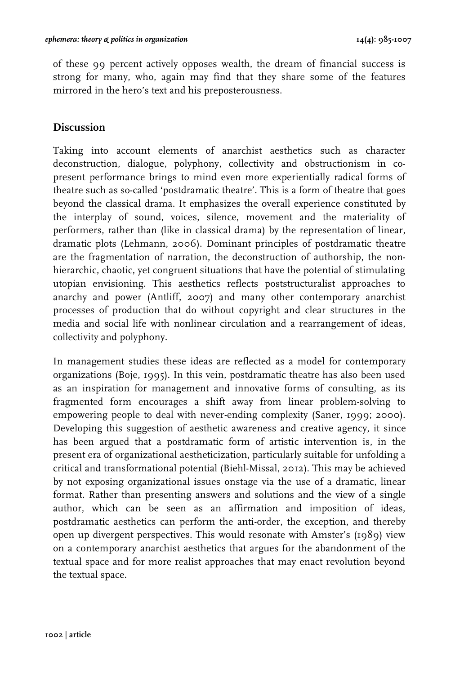of these 99 percent actively opposes wealth, the dream of financial success is strong for many, who, again may find that they share some of the features mirrored in the hero's text and his preposterousness.

## **Discussion**

Taking into account elements of anarchist aesthetics such as character deconstruction, dialogue, polyphony, collectivity and obstructionism in copresent performance brings to mind even more experientially radical forms of theatre such as so-called 'postdramatic theatre'. This is a form of theatre that goes beyond the classical drama. It emphasizes the overall experience constituted by the interplay of sound, voices, silence, movement and the materiality of performers, rather than (like in classical drama) by the representation of linear, dramatic plots (Lehmann, 2006). Dominant principles of postdramatic theatre are the fragmentation of narration, the deconstruction of authorship, the nonhierarchic, chaotic, yet congruent situations that have the potential of stimulating utopian envisioning. This aesthetics reflects poststructuralist approaches to anarchy and power (Antliff, 2007) and many other contemporary anarchist processes of production that do without copyright and clear structures in the media and social life with nonlinear circulation and a rearrangement of ideas, collectivity and polyphony.

In management studies these ideas are reflected as a model for contemporary organizations (Boje, 1995). In this vein, postdramatic theatre has also been used as an inspiration for management and innovative forms of consulting, as its fragmented form encourages a shift away from linear problem-solving to empowering people to deal with never-ending complexity (Saner, 1999; 2000). Developing this suggestion of aesthetic awareness and creative agency, it since has been argued that a postdramatic form of artistic intervention is, in the present era of organizational aestheticization, particularly suitable for unfolding a critical and transformational potential (Biehl-Missal, 2012). This may be achieved by not exposing organizational issues onstage via the use of a dramatic, linear format. Rather than presenting answers and solutions and the view of a single author, which can be seen as an affirmation and imposition of ideas, postdramatic aesthetics can perform the anti-order, the exception, and thereby open up divergent perspectives. This would resonate with Amster's (1989) view on a contemporary anarchist aesthetics that argues for the abandonment of the textual space and for more realist approaches that may enact revolution beyond the textual space.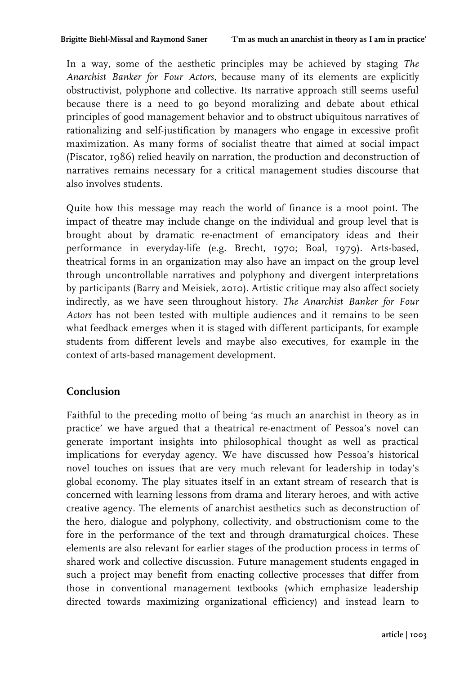In a way, some of the aesthetic principles may be achieved by staging *The Anarchist Banker for Four Actors*, because many of its elements are explicitly obstructivist, polyphone and collective. Its narrative approach still seems useful because there is a need to go beyond moralizing and debate about ethical principles of good management behavior and to obstruct ubiquitous narratives of rationalizing and self-justification by managers who engage in excessive profit maximization. As many forms of socialist theatre that aimed at social impact (Piscator, 1986) relied heavily on narration, the production and deconstruction of narratives remains necessary for a critical management studies discourse that also involves students.

Quite how this message may reach the world of finance is a moot point. The impact of theatre may include change on the individual and group level that is brought about by dramatic re-enactment of emancipatory ideas and their performance in everyday-life (e.g. Brecht, 1970; Boal, 1979). Arts-based, theatrical forms in an organization may also have an impact on the group level through uncontrollable narratives and polyphony and divergent interpretations by participants (Barry and Meisiek, 2010). Artistic critique may also affect society indirectly, as we have seen throughout history. *The Anarchist Banker for Four Actors* has not been tested with multiple audiences and it remains to be seen what feedback emerges when it is staged with different participants, for example students from different levels and maybe also executives, for example in the context of arts-based management development.

## **Conclusion**

Faithful to the preceding motto of being 'as much an anarchist in theory as in practice' we have argued that a theatrical re-enactment of Pessoa's novel can generate important insights into philosophical thought as well as practical implications for everyday agency. We have discussed how Pessoa's historical novel touches on issues that are very much relevant for leadership in today's global economy. The play situates itself in an extant stream of research that is concerned with learning lessons from drama and literary heroes, and with active creative agency. The elements of anarchist aesthetics such as deconstruction of the hero, dialogue and polyphony, collectivity, and obstructionism come to the fore in the performance of the text and through dramaturgical choices. These elements are also relevant for earlier stages of the production process in terms of shared work and collective discussion. Future management students engaged in such a project may benefit from enacting collective processes that differ from those in conventional management textbooks (which emphasize leadership directed towards maximizing organizational efficiency) and instead learn to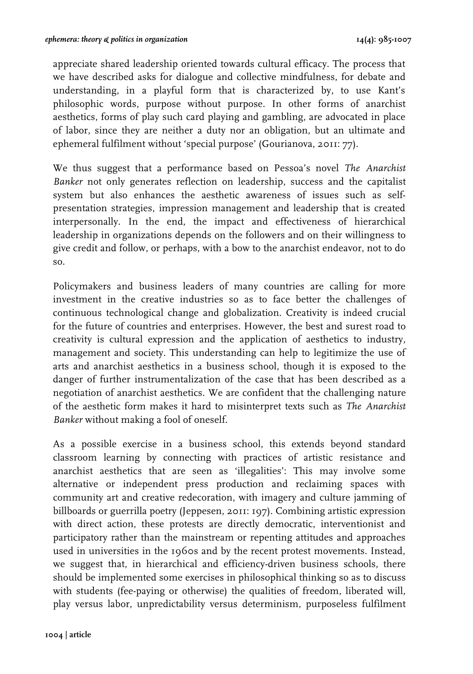appreciate shared leadership oriented towards cultural efficacy. The process that we have described asks for dialogue and collective mindfulness, for debate and understanding, in a playful form that is characterized by, to use Kant's philosophic words, purpose without purpose. In other forms of anarchist aesthetics, forms of play such card playing and gambling, are advocated in place of labor, since they are neither a duty nor an obligation, but an ultimate and ephemeral fulfilment without 'special purpose' (Gourianova, 2011: 77).

We thus suggest that a performance based on Pessoa's novel *The Anarchist Banker* not only generates reflection on leadership, success and the capitalist system but also enhances the aesthetic awareness of issues such as selfpresentation strategies, impression management and leadership that is created interpersonally. In the end, the impact and effectiveness of hierarchical leadership in organizations depends on the followers and on their willingness to give credit and follow, or perhaps, with a bow to the anarchist endeavor, not to do so.

Policymakers and business leaders of many countries are calling for more investment in the creative industries so as to face better the challenges of continuous technological change and globalization. Creativity is indeed crucial for the future of countries and enterprises. However, the best and surest road to creativity is cultural expression and the application of aesthetics to industry, management and society. This understanding can help to legitimize the use of arts and anarchist aesthetics in a business school, though it is exposed to the danger of further instrumentalization of the case that has been described as a negotiation of anarchist aesthetics. We are confident that the challenging nature of the aesthetic form makes it hard to misinterpret texts such as *The Anarchist Banker* without making a fool of oneself.

As a possible exercise in a business school, this extends beyond standard classroom learning by connecting with practices of artistic resistance and anarchist aesthetics that are seen as 'illegalities': This may involve some alternative or independent press production and reclaiming spaces with community art and creative redecoration, with imagery and culture jamming of billboards or guerrilla poetry (Jeppesen, 2011: 197). Combining artistic expression with direct action, these protests are directly democratic, interventionist and participatory rather than the mainstream or repenting attitudes and approaches used in universities in the 1960s and by the recent protest movements. Instead, we suggest that, in hierarchical and efficiency-driven business schools, there should be implemented some exercises in philosophical thinking so as to discuss with students (fee-paying or otherwise) the qualities of freedom, liberated will, play versus labor, unpredictability versus determinism, purposeless fulfilment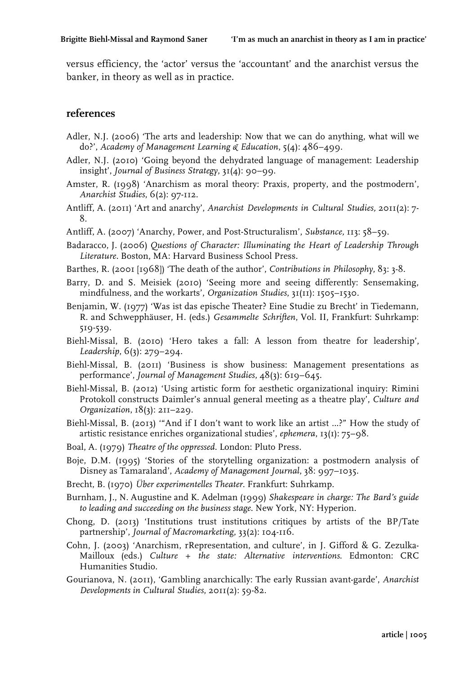versus efficiency, the 'actor' versus the 'accountant' and the anarchist versus the banker, in theory as well as in practice.

#### **references**

- Adler, N.J. (2006) 'The arts and leadership: Now that we can do anything, what will we do?', *Academy of Management Learning & Education*, 5(4): 486–499.
- Adler, N.J. (2010) 'Going beyond the dehydrated language of management: Leadership insight', *Journal of Business Strategy*, 31(4): 90–99.
- Amster, R. (1998) 'Anarchism as moral theory: Praxis, property, and the postmodern', *Anarchist Studies*, 6(2): 97-112.
- Antliff, A. (2011) 'Art and anarchy', *Anarchist Developments in Cultural Studies,* 2011(2): 7- 8.
- Antliff, A. (2007) 'Anarchy, Power, and Post-Structuralism', *Substance,* 113: 58–59.
- Badaracco, J. (2006) *Questions of Character: Illuminating the Heart of Leadership Through Literature.* Boston, MA: Harvard Business School Press.
- Barthes, R. (2001 [1968]) 'The death of the author', *Contributions in Philosophy*, 83: 3-8.
- Barry, D. and S. Meisiek (2010) 'Seeing more and seeing differently: Sensemaking, mindfulness, and the workarts', *Organization Studies*, 31(11): 1505–1530.
- Benjamin, W. (1977) 'Was ist das epische Theater? Eine Studie zu Brecht' in Tiedemann, R. and Schwepphäuser, H. (eds.) *Gesammelte Schriften*, Vol. II, Frankfurt: Suhrkamp: 519-539.
- Biehl-Missal, B. (2010) 'Hero takes a fall: A lesson from theatre for leadership', *Leadership*, 6(3): 279–294.
- Biehl-Missal, B. (2011) 'Business is show business: Management presentations as performance', *Journal of Management Studies*, 48(3): 619–645.
- Biehl-Missal, B. (2012) 'Using artistic form for aesthetic organizational inquiry: Rimini Protokoll constructs Daimler's annual general meeting as a theatre play', *Culture and Organization*, 18(3): 211–229.
- Biehl-Missal, B. (2013) '"And if I don't want to work like an artist ...?" How the study of artistic resistance enriches organizational studies', *ephemera*, 13(1): 75–98.
- Boal, A. (1979) *Theatre of the oppressed*. London: Pluto Press.
- Boje, D.M. (1995) 'Stories of the storytelling organization: a postmodern analysis of Disney as Tamaraland', *Academy of Management Journal*, 38: 997–1035.
- Brecht, B. (1970) *Über experimentelles Theater*. Frankfurt: Suhrkamp.
- Burnham, J., N. Augustine and K. Adelman (1999) *Shakespeare in charge: The Bard's guide to leading and succeeding on the business stage*. New York, NY: Hyperion.
- Chong, D. (2013) 'Institutions trust institutions critiques by artists of the BP/Tate partnership', *Journal of Macromarketing*, 33(2): 104-116.
- Cohn, J. (2003) 'Anarchism, rRepresentation, and culture', in J. Gifford & G. Zezulka-Mailloux (eds.) *Culture + the state: Alternative interventions*. Edmonton: CRC Humanities Studio.
- Gourianova, N. (2011), 'Gambling anarchically: The early Russian avant-garde', *Anarchist Developments in Cultural Studies*, 2011(2): 59-82.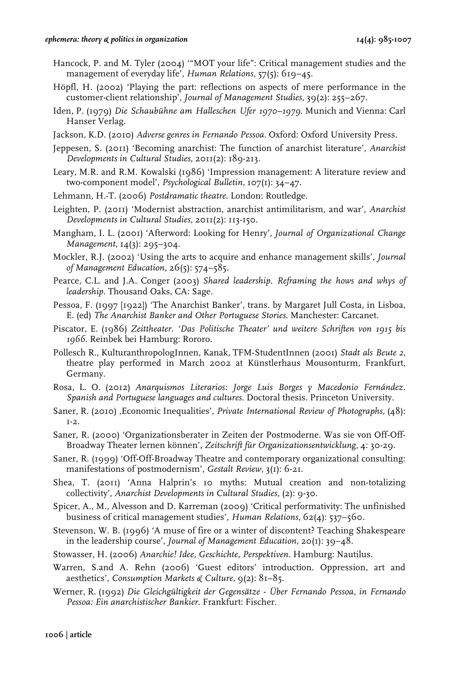- Hancock, P. and M. Tyler (2004) '"MOT your life": Critical management studies and the management of everyday life', *Human Relations*, 57(5): 619–45.
- Höpfl, H. (2002) 'Playing the part: reflections on aspects of mere performance in the customer-client relationship', *Journal of Management Studies*, 39(2): 255–267.
- Iden, P. (1979) *Die Schaubühne am Halleschen Ufer 1970–1979*. Munich and Vienna: Carl Hanser Verlag.
- Jackson, K.D. (2010) *Adverse genres in Fernando Pessoa*. Oxford: Oxford University Press.
- Jeppesen, S. (2011) 'Becoming anarchist: The function of anarchist literature', *Anarchist Developments in Cultural Studies*, 2011(2): 189-213.
- Leary, M.R. and R.M. Kowalski (1986) 'Impression management: A literature review and two-component model', *Psychological Bulletin*, 107(1): 34–47.
- Lehmann, H.-T. (2006) *Postdramatic theatre*. London: Routledge.
- Leighten, P. (2011) 'Modernist abstraction, anarchist antimilitarism, and war', *Anarchist Developments in Cultural Studies*, 2011(2): 113-150.
- Mangham, I. L. (2001) 'Afterword: Looking for Henry', *Journal of Organizational Change Management*, 14(3): 295–304.
- Mockler, R.J. (2002) 'Using the arts to acquire and enhance management skills', *Journal of Management Education*, 26(5): 574–585.
- Pearce, C.L. and J.A. Conger (2003) *Shared leadership. Reframing the hows and whys of leadership*. Thousand Oaks, CA: Sage.
- Pessoa, F. (1997 [1922]) 'The Anarchist Banker', trans. by Margaret Jull Costa, in Lisboa, E. (ed) *The Anarchist Banker and Other Portuguese Stories*. Manchester: Carcanet.
- Piscator, E. (1986) *Zeittheater. 'Das Politische Theater' und weitere Schriften von 1915 bis 1966*. Reinbek bei Hamburg: Rororo.
- Pollesch R., KulturanthropologInnen, Kanak, TFM-StudentInnen (2001) *Stadt als Beute 2*, theatre play performed in March 2002 at Künstlerhaus Mousonturm, Frankfurt, Germany.
- Rosa, L. O. (2012) *Anarquismos Literarios: Jorge Luis Borges y Macedonio Fernández. Spanish and Portuguese languages and cultures*. Doctoral thesis. Princeton University.
- Saner, R. (2010) 'Economic Inequalities', *Private International Review of Photographs,* (48):  $T-2$ .
- Saner, R. (2000) 'Organizationsberater in Zeiten der Postmoderne. Was sie von Off-Off-Broadway Theater lernen können', *Zeitschrift für Organizationsentwicklung*, 4: 30-29.
- Saner, R. (1999) 'Off-Off-Broadway Theatre and contemporary organizational consulting: manifestations of postmodernism', *Gestalt Review*, 3(1): 6-21.
- Shea, T. (2011) 'Anna Halprin's 10 myths: Mutual creation and non-totalizing collectivity', *Anarchist Developments in Cultural Studies*, (2): 9-30.
- Spicer, A., M., Alvesson and D. Karreman (2009) 'Critical performativity: The unfinished business of critical management studies', *Human Relations*, 62(4): 537–560.
- Stevenson, W. B. (1996) 'A muse of fire or a winter of discontent? Teaching Shakespeare in the leadership course', *Journal of Management Education*, 20(1): 39–48.
- Stowasser, H. (2006) *Anarchie! Idee, Geschichte, Perspektiven*. Hamburg: Nautilus.
- Warren, S.and A. Rehn (2006) 'Guest editors' introduction. Oppression, art and aesthetics', *Consumption Markets & Culture*, 9(2): 81–85.
- Werner, R. (1992) *Die Gleichgültigkeit der Gegensätze Über Fernando Pessoa, in Fernando Pessoa: Ein anarchistischer Bankier*. Frankfurt: Fischer.